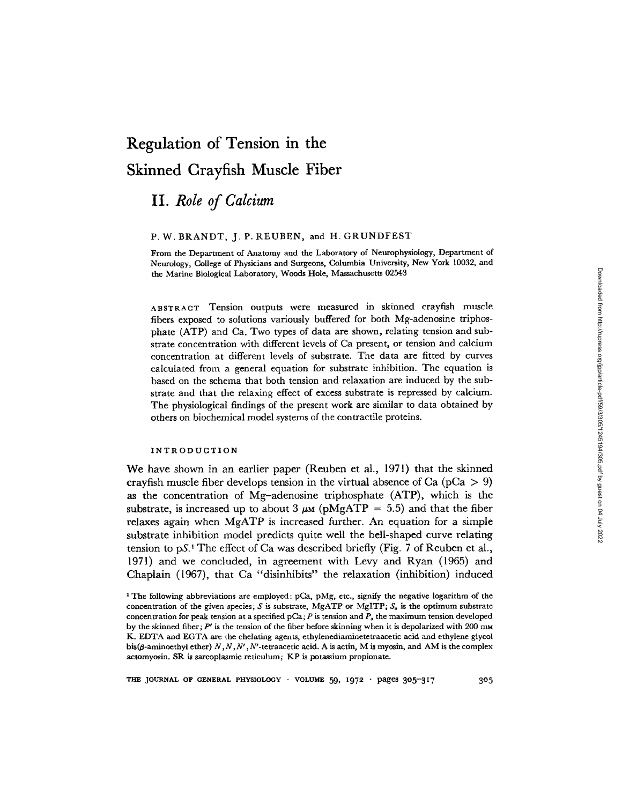# **Regulation of Tension in the Skinned Crayfish Muscle Fiber**

## **II.** *Role of Calcium*

#### P. W. BRANDT, J. P. REUBEN, and H. GRUNDFEST

From the Department of Anatomy and the Laboratory of Neurophysiology, Department of Neurology, College of Physicians and Surgeons, Columbia University, New York 10032, and the Marine Biological Laboratory, Woods Hole, Massachusetts 02543

**ABSTRACT** Tension outputs were measured in skinned crayfish muscle fibers exposed to solutions variously buffered for both Mg-adenosine triphosphate (ATP) and Ca. Two types of data are shown, relating tension and substrate concentration with different levels of Ca present, or tension and calcium concentration at different levels of substrate. The data are fitted by curves calculated from a general equation for substrate inhibition. The equation is based on the schema that both tension and relaxation are induced by the substrate and that the relaxing effect of excess substrate is repressed by calcium. The physiological findings of the present work are similar to data obtained by others on biochemical model systems of the contractile proteins.

#### INTRODUCTION

We have shown in an earlier paper (Reuben et al., 1971) that the skinned crayfish muscle fiber develops tension in the virtual absence of Ca ( $pCa > 9$ ) as the concentration of Mg-adenosine triphosphate (ATP), which is the substrate, is increased up to about 3  $\mu$ M (pMgATP = 5.5) and that the fiber relaxes again when MgATP is increased further. An equation for a simple substrate inhibition model predicts quite well the bell-shaped curve relating tension to  $pS<sup>1</sup>$ . The effect of Ca was described briefly (Fig. 7 of Reuben et al., 1971) and we concluded, in agreement with Levy and Ryan (1965) and Chaplain (1967), that Ca "disinhibits" the relaxation (inhibition) induced

THE JOURNAL OF GENERAL PHYSIOLOGY VOLUME 59, **1972** pages **305-317** 3o5

<sup>&#</sup>x27; The following abbreviations are employed: pCa, pMg, etc., signify the negative logarithm of the concentration of the given species; *S* is substrate, MgATP or MgITP;  $S<sub>o</sub>$  is the optimum substrate concentration for peak tension at a specified  $pCa$ ; *P* is tension and  $P<sub>o</sub>$  the maximum tension developed by the skinned fiber; *P'* is the tension of the fiber before skinning when it is depolarized with 200 **mm** K. EDTA and EGTA are the chelating agents, ethylenediaminetetraacetic acid and ethylene glycol bis( $\beta$ -aminoethyl ether)  $N, N, N', N'$ -tetraacetic acid. A is actin, M is myosin, and AM is the complex actomyosin. SR is sarcoplasmic reticulum; KP is potassium propionate.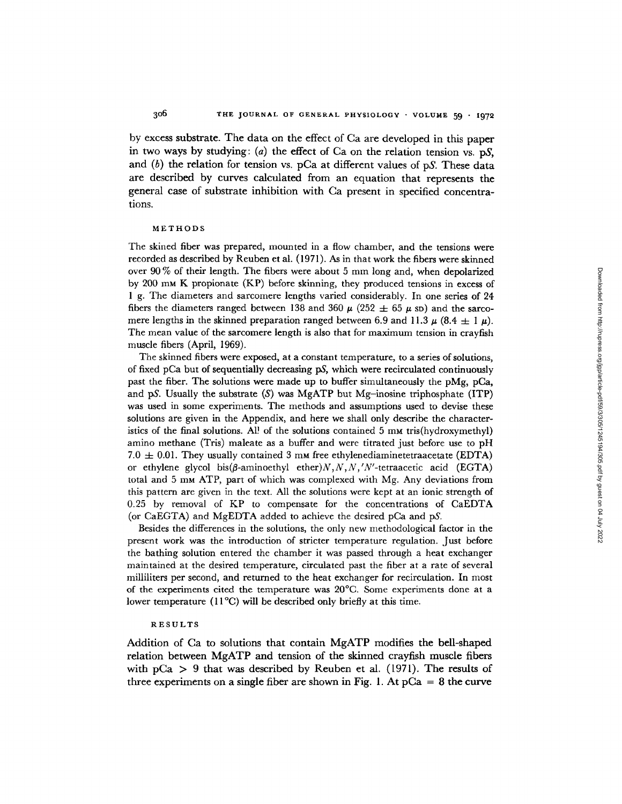by excess substrate. The data on the effect of Ca are developed **in** this paper **in two ways by studying:** (a) **the effect** of Ca on **the relation tension** vs. pS, and  $(b)$  the relation for tension vs. pCa at different values of pS. These data are described by curves calculated from an equation **that represents the** general case of substrate inhibition with Ca present in specified concentrations.

#### METHODS

The skined fiber was prepared, mounted in a flow chamber, and the tensions were recorded as described by Reuben et al. (1971). As in that work the fibers were skinned over 90 % of their length. The fibers were about 5 mm long and, when depolarized by 200 mM K propionate (KP) before skinning, they produced tensions in excess of I g. The diameters and sarcomere lengths varied considerably. In one series of 24 fibers the diameters ranged between 138 and 360  $\mu$  (252  $\pm$  65  $\mu$  sp) and the sarcomere lengths in the skinned preparation ranged between 6.9 and 11.3  $\mu$  (8.4  $\pm$  1  $\mu$ ). The mean value of the sarcomere length is also that for maximum tension in crayfish muscle fibers (April, 1969).

The skinned fibers were exposed, at a constant temperature, to a series of solutions, of fixed pCa but of sequentially decreasing pS, which were recirculated continuously past the fiber. The solutions were made up to buffer simultaneously the pMg, pCa, and pS. Usually the substrate  $(S)$  was MgATP but Mg-inosine triphosphate (ITP) was used in some experiments. The methods and assumptions used to devise these solutions are given in the Appendix, and here we shall only describe the characteristics of the final solutions. Al! of the solutions contained 5 mm tris(hydroxymethyl) amino methane (Tris) maleate as a buffer and were titrated just before use to pH 7.0  $\pm$  0.01. They usually contained 3 mm free ethylenediaminetetraacetate (EDTA) or ethylene glycol bis( $\beta$ -aminoethyl ether) $N, N, N'$ '-tetraacetic acid (EGTA) total and 5 mM ATP, part of which was complexed with Mg. Any deviations from this pattern are given in the text. All the solutions were kept at an ionic strength of 0.25 by removal of KP to compensate for the concentrations of CaEDTA (or CaEGTA) and MgEDTA added to achieve the desired pCa and pS.

Besides the differences in the solutions, the only new methodological factor in the present work was the introduction of stricter temperature regulation. Just before the bathing solution entered the chamber it was passed through a heat exchanger maintained at the desired temperature, circulated past the fiber at a rate of several milliliters per second, and returned to the heat exchanger for recirculation. In most of the experiments cited the temperature was 20°C. Some experiments done at a lower temperature (11°C) will be described only briefly at this time.

#### RESULTS

**Addition** of Ca to **solutions that contain MgATP modifies the bell-shaped relation between MgATP and tension of the skinned crayfish muscle fibers with** pCa > 9 **that was described by Reuben et** al. (1971). The **results of** three experiments on a single fiber are shown in Fig. 1. At  $pCa = 8$  the curve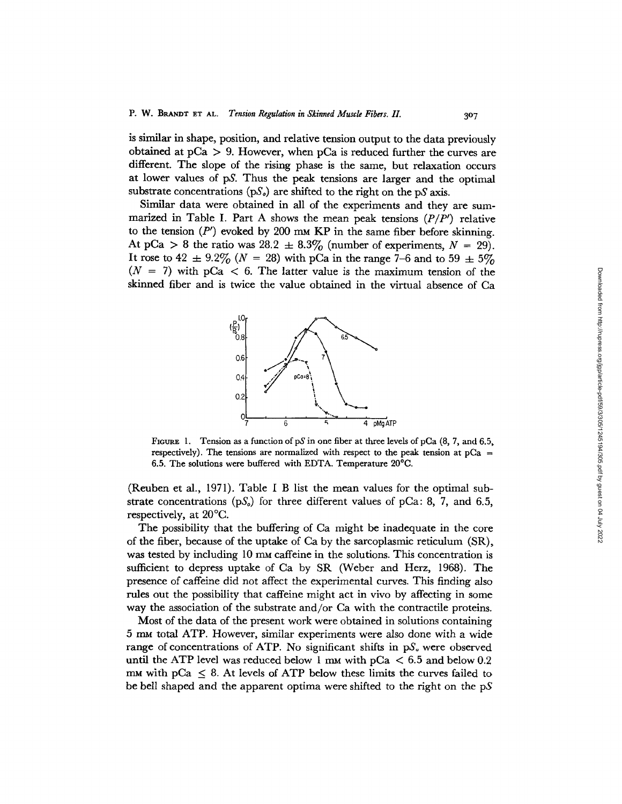is similar in shape, position, and relative tension output to the data previously obtained at  $pCa > 9$ . However, when  $pCa$  is reduced further the curves are different. The slope of the rising phase is the same, but relaxation occurs at lower values of pS. Thus the peak tensions are larger and the optimal substrate concentrations  $(pS<sub>o</sub>)$  are shifted to the right on the pS axis.

Similar data were obtained in all of the experiments and they are summarized in Table I. Part A shows the mean peak tensions  $(P/P')$  relative to the tension  $(P')$  evoked by 200 mm KP in the same fiber before skinning. At pCa > 8 the ratio was  $28.2 \pm 8.3\%$  (number of experiments,  $N = 29$ ). It rose to 42  $\pm$  9.2% *(N = 28)* with pCa in the range 7-6 and to 59  $\pm$  5%  $(N = 7)$  with pCa  $< 6$ . The latter value is the maximum tension of the skinned fiber and is twice the value obtained in the virtual absence of Ca



**FIGURE** 1. Tension as a function of pS in one fiber at three levels of pCa (8, 7, and 6.5, respectively). The tensions are normalized with respect to the peak tension at pCa = 6.5. The solutions were buffered with EDTA. Temperature 20°C.

(Reuben et al., 1971). Table I B list the mean values for the optimal substrate concentrations ( $pS_0$ ) for three different values of  $pCa: 8, 7,$  and 6.5, respectively, at 20°C.

The possibility that the buffering of Ca might be inadequate in the core of the fiber, because of the uptake of Ca by the sarcoplasmic reticulum (SR), was tested by including  $10 \text{ mm}$  caffeine in the solutions. This concentration is sufficient to depress uptake of Ca by SR (Weber and Herz, 1968). The presence of caffeine did not affect the experimental curves. This finding also rules out the possibility that caffeine might act in vivo by affecting in some way the association of the substrate and/or Ca with the contractile proteins.

Most of the data of the present work were obtained in solutions containing 5 mM total ATP. However, similar experiments were also done with a wide range of concentrations of ATP. No significant shifts in  $pS<sub>a</sub>$  were observed until the ATP level was reduced below 1 mm with pCa  $\lt$  6.5 and below 0.2 mm with pCa  $\leq$  8. At levels of ATP below these limits the curves failed to be bell shaped and the apparent optima were shifted to the right on the pS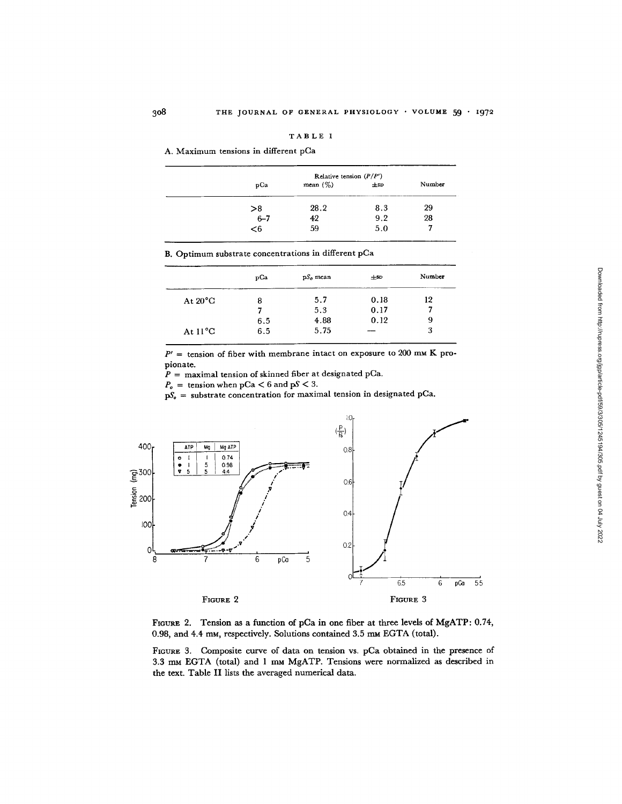|  |  | -- | ۰ | ., |  |
|--|--|----|---|----|--|
|--|--|----|---|----|--|

A. Maximum tensions in different pCa

| pCa     | mean $(\%)$ | $\pm$ SD | Number |
|---------|-------------|----------|--------|
| >8      | 28.2        | 8.3      | 29     |
| $6 - 7$ | 42          | 9.2      | 28     |
| $6$     | 59          | 5.0      | 7      |

B. Optimum substrate concentrations in different pCa

|                   | pCa | $pS_0$ mean | $\pm$ SD | Number |
|-------------------|-----|-------------|----------|--------|
| At $20^{\circ}$ C | 8   | 5.7         | 0.18     | 12     |
|                   |     | 5.3         | 0.17     |        |
|                   | 6.5 | 4.88        | 0.12     | 9      |
| At $11^{\circ}$ C | 6.5 | 5.75        |          | 3      |
|                   |     |             |          |        |

 $P' =$  tension of fiber with membrane intact on exposure to 200 mm K propionate.

 $P =$  maximal tension of skinned fiber at designated pCa.

 $P_o$  = tension when pCa < 6 and pS < 3.

**pS** = substrate concentration for maximal tension in designated pCa.



**FIGURE** 2. Tension as a function of pCa in one fiber at three levels of MgATP: 0.74, 0.98, and 4.4 mm, respectively. Solutions contained 3.5 mm EGTA (total).

FIGURE 3. Composite curve of data on tension vs. pCa obtained in the presence of 3.3 mm EGTA (total) and 1 mm MgATP. Tensions were normalized as described in the text. Table II lists the averaged numerical data.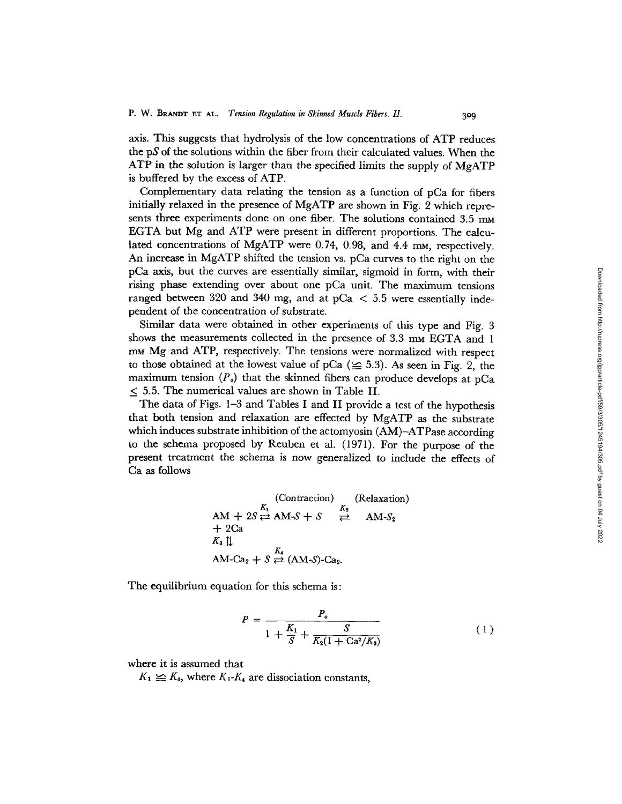axis. This suggests that hydrolysis of the low concentrations of ATP reduces the pS of the solutions within the fiber from their calculated values. When the ATP in the solution is larger than the specified limits the supply of MgATP is buffered by the excess of ATP.

Complementary data relating the tension as a function of pCa for fibers initially relaxed in the presence of MgATP are shown in Fig. 2 which represents three experiments done on one fiber. The solutions contained 3.5 mm EGTA but Mg and ATP were present in different proportions. The calculated concentrations of MgATP were 0.74, 0.98, and 4.4 mm, respectively. An increase in MgATP shifted the tension vs. pCa curves to the right on the pCa axis, but the curves are essentially similar, sigmoid in form, with their rising phase extending over about one pCa unit. The maximum tensions ranged between 320 and 340 mg, and at  $pCa < 5.5$  were essentially independent of the concentration of substrate.

Similar data were obtained in other experiments of this type and Fig. 3 shows the measurements collected in the presence of 3.3 mm EGTA and 1 mM Mg and ATP, respectively. The tensions were normalized with respect to those obtained at the lowest value of pCa ( $\leq$  5.3). As seen in Fig. 2, the maximum tension  $(P_0)$  that the skinned fibers can produce develops at pCa < 5.5. The numerical values are shown in Table II.

The data of Figs. 1-3 and Tables I and II provide a test of the hypothesis that both tension and relaxation are effected by MgATP as the substrate which induces substrate inhibition of the actomyosin (AM)-ATPase according to the schema proposed by Reuben et al. (1971). For the purpose of the present treatment the schema is now generalized to include the effects of Ca as follows

(Contraction) (Relaxation)  
\nAM + 2S 
$$
\rightleftarrows
$$
 AM-S + S  $\rightleftarrows$  AM-S<sub>2</sub>  
\n+ 2Ca  
\nK<sub>3</sub>  $\uparrow \downarrow$   
\nAM-Ca<sub>2</sub> + S  $\rightleftarrows$  (AM-S)-Ca<sub>2</sub>.

The equilibrium equation for this schema is:

$$
P = \frac{P_o}{1 + \frac{K_1}{S} + \frac{S}{K_2(1 + \text{Ca}^2/K_3)}}\tag{1}
$$

where it is assumed that

 $K_1 \leq K_4$ , where  $K_1$ - $K_4$  are dissociation constants,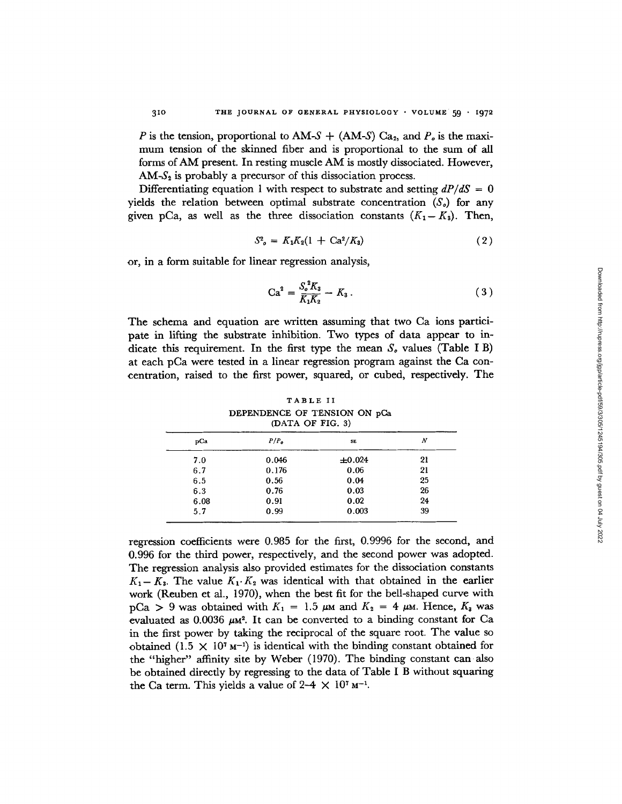*P* is the tension, proportional to AM-S + (AM-S)  $Ca_2$ , and  $P_o$  is the maximum tension of the skinned fiber and is proportional to the sum of all forms of AM present. In resting muscle AM is mostly dissociated. However, AM-S <sup>2</sup> is probably a precursor of this dissociation process.

Differentiating equation 1 with respect to substrate and setting  $dP/dS = 0$ yields the relation between optimal substrate concentration  $(S_n)$  for any given pCa, as well as the three dissociation constants  $(K_1 - K_3)$ . Then,

$$
S^2_{o} = K_1 K_2 (1 + Ca^2/K_3)
$$
 (2)

or, in a form suitable for linear regression analysis,

$$
\text{Ca}^2 = \frac{S_o^2 K_3}{K_1 K_2} - K_3 \,. \tag{3}
$$

The schema and equation are written assuming that two Ca ions participate in lifting the substrate inhibition. Two types of data appear to indicate this requirement. In the first type the mean  $S<sub>o</sub>$  values (Table I B) at each pCa were tested in a linear regression program against the Ca concentration, raised to the first power, squared, or cubed, respectively. The

TABLE II DEPENDENCE OF TENSION ON pCa (DATA OF FIG. 3)

| pCa  | P/P <sub>o</sub> | SE.    | N  |
|------|------------------|--------|----|
| 7.0  | 0.046            | ±0.024 | 21 |
| 6.7  | 0.176            | 0.06   | 21 |
| 6.5  | 0.56             | 0.04   | 25 |
| 6.3  | 0.76             | 0.03   | 26 |
| 6.08 | 0.91             | 0.02   | 24 |
| 5.7  | 0.99             | 0.003  | 39 |

regression coefficients were 0.985 for the first, 0.9996 for the second, and 0.996 for the third power, respectively, and the second power was adopted. The regression analysis also provided estimates for the dissociation constants  $K_1 - K_3$ . The value  $K_1 \cdot K_2$  was identical with that obtained in the earlier work (Reuben et al., 1970), when the best fit for the bell-shaped curve with  $pCa > 9$  was obtained with  $K_1 = 1.5 \mu M$  and  $K_2 = 4 \mu M$ . Hence,  $K_3$  was evaluated as  $0.0036 \mu\text{m}^2$ . It can be converted to a binding constant for Ca in the first power by taking the reciprocal of the square root. The value so obtained  $(1.5 \times 10^{7} \text{ m}^{-1})$  is identical with the binding constant obtained for the "higher" affinity site by Weber (1970). The binding constant can also be obtained directly by regressing to the data of Table I B without squaring the Ca term. This yields a value of  $2-4 \times 10^{7}$  M<sup>-1</sup>.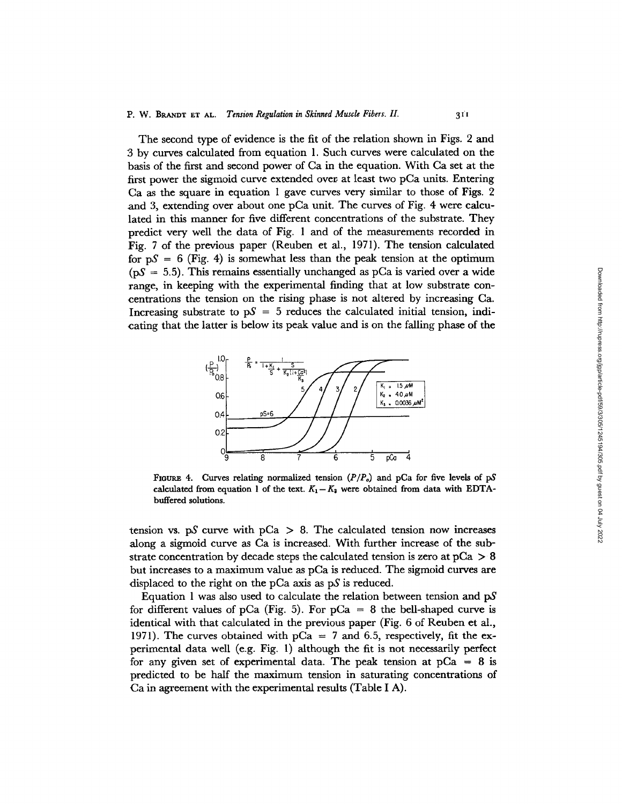The second type of evidence is the fit of the relation shown in Figs. 2 and 3 by curves calculated from equation 1. Such curves were calculated on the basis of the first and second power of Ca in the equation. With Ca set at the first power the sigmoid curve extended over at least two pCa units. Entering Ca as the square in equation 1 gave curves very similar to those of Figs. 2 and 3, extending over about one pCa unit. The curves of Fig. 4 were calculated in this manner for five different concentrations of the substrate. They predict very well the data of Fig. 1 and of the measurements recorded in Fig. 7 of the previous paper (Reuben et al., 1971). The tension calculated for  $pS = 6$  (Fig. 4) is somewhat less than the peak tension at the optimum ( $pS = 5.5$ ). This remains essentially unchanged as  $pCa$  is varied over a wide range, in keeping with the experimental finding that at low substrate concentrations the tension on the rising phase is not altered by increasing Ca. Increasing substrate to  $pS = 5$  reduces the calculated initial tension, indicating that the latter is below its peak value and is on the falling phase of the



FIGURE 4. Curves relating normalized tension  $(P/P<sub>o</sub>)$  and pCa for five levels of pS calculated from equation 1 of the text.  $K_1 - K_3$  were obtained from data with EDTAbuffered solutions.

tension vs. pS curve with  $pCa > 8$ . The calculated tension now increases along a sigmoid curve as Ca is increased. With further increase of the substrate concentration by decade steps the calculated tension is zero at  $pCa > 8$ but increases to a maximum value as pCa is reduced. The sigmoid curves are displaced to the right on the pCa axis as pS is reduced.

Equation 1 was also used to calculate the relation between tension and pS for different values of pCa (Fig. 5). For  $pCa = 8$  the bell-shaped curve is identical with that calculated in the previous paper (Fig. 6 of Reuben et al., 1971). The curves obtained with  $pCa = 7$  and 6.5, respectively, fit the experimental data well (e.g. Fig. 1) although the fit is not necessarily perfect for any given set of experimental data. The peak tension at  $pCa = 8$  is predicted to be half the maximum tension in saturating concentrations of Ca in agreement with the experimental results (Table I A).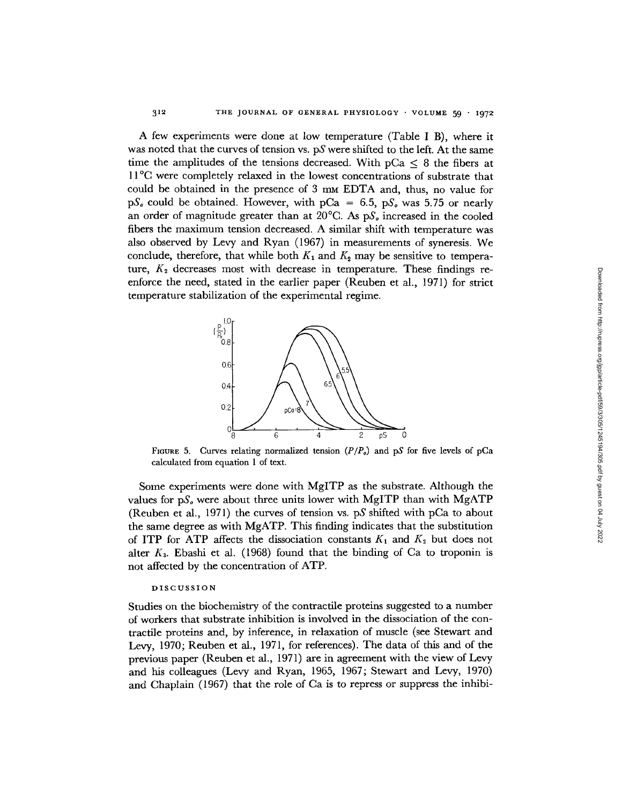A few experiments were done at low temperature (Table I B), where it was noted that the curves of tension vs. pS were shifted to the left. At the same time the amplitudes of the tensions decreased. With  $pCa \leq 8$  the fibers at 11 °C were completely relaxed in the lowest concentrations of substrate that could be obtained in the presence of 3 mm EDTA and, thus, no value for  $pS_0$  could be obtained. However, with  $pCa = 6.5$ ,  $pS_0$  was 5.75 or nearly an order of magnitude greater than at 20°C. As pS<sub>o</sub> increased in the cooled fibers the maximum tension decreased. A similar shift with temperature was also observed by Levy and Ryan (1967) in measurements of syneresis. We conclude, therefore, that while both  $K_1$  and  $K_2$  may be sensitive to temperature,  $K_2$  decreases most with decrease in temperature. These findings reenforce the need, stated in the earlier paper (Reuben et al., 1971) for strict temperature stabilization of the experimental regime.



FIGURE 5. Curves relating normalized tension  $(P/P<sub>o</sub>)$  and pS for five levels of pCa calculated from equation 1 of text.

Some experiments were done with MgITP as the substrate. Although the values for  $pS<sub>o</sub>$  were about three units lower with MgITP than with MgATP (Reuben et al., 1971) the curves of tension vs. pS shifted with pCa to about the same degree as with MgATP. This finding indicates that the substitution of **ITP** for ATP affects the dissociation constants  $K_1$  and  $K_2$  but does not alter  $K_3$ . Ebashi et al. (1968) found that the binding of Ca to troponin is not affected by the concentration of ATP.

### **DISCUSSION**

Studies on the biochemistry of the contractile proteins suggested to a number of workers that substrate inhibition is involved in the dissociation of the contractile proteins and, by inference, in relaxation of muscle (see Stewart and Levy, 1970; Reuben et al., 1971, for references). The data of this and of the previous paper (Reuben et al., 1971) are in agreement with the view of Levy and his colleagues (Levy and Ryan, 1965, 1967; Stewart and Levy, 1970) and Chaplain (1967) that the role of Ca is to repress or suppress the inhibi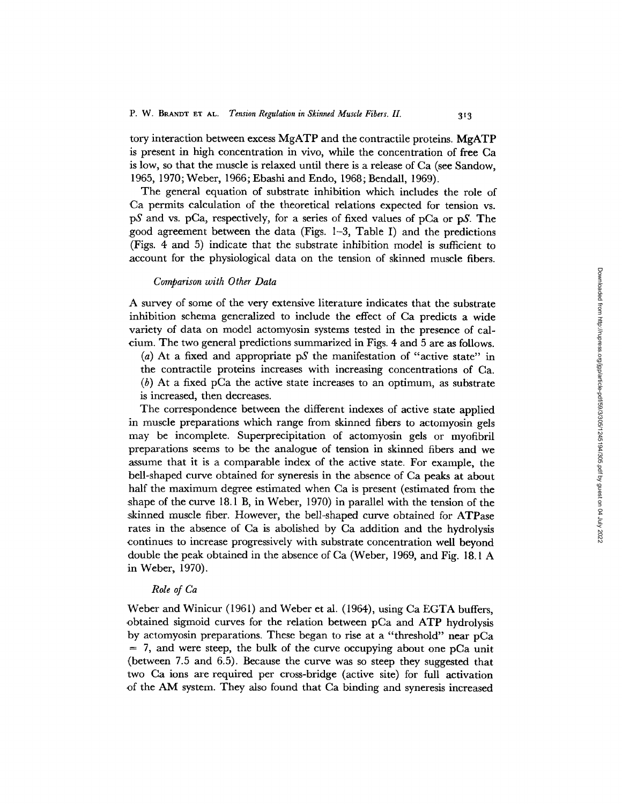tory interaction between excess MgATP and the contractile proteins. MgATP is present in high concentration in vivo, while the concentration of free Ca is low, so that the muscle is relaxed until there is a release of Ca (see Sandow, 1965, 1970; Weber, 1966; Ebashi and Endo, 1968; Bendall, 1969).

The general equation of substrate inhibition which includes the role of ,Ca permits calculation of the theoretical relations expected for tension vs. pS and vs. pCa, respectively, for a series of fixed values of pCa or pS. The good agreement between the data (Figs. 1-3, Table I) and the predictions (Figs. 4 and 5) indicate that the substrate inhibition model is sufficient to account for the physiological data on the tension of skinned muscle fibers.

#### *Comparison with Other Data*

A survey of some of the very extensive literature indicates that the substrate inhibition schema generalized to include the effect of Ca predicts a wide variety of data on model actomyosin systems tested in the presence of calcium. The two general predictions summarized in Figs. 4 and 5 are as follows.

*(a)* At a fixed and appropriate pS the manifestation of "active state" in the contractile proteins increases with increasing concentrations of Ca. *(b)* At a fixed pCa the active state increases to an optimum, as substrate is increased, then decreases.

The correspondence between the different indexes of active state applied in muscle preparations which range from skinned fibers to actomyosin gels may be incomplete. Superprecipitation of actomyosin gels or myofibril preparations seems to be the analogue of tension in skinned fibers and we assume that it is a comparable index of the active state. For example, the bell-shaped curve obtained for syneresis in the absence of Ca peaks at about half the maximum degree estimated when Ca is present (estimated from the shape of the curve 18.1 B, in Weber, 1970) in parallel with the tension of the skinned muscle fiber. However, the bell-shaped curve obtained for ATPase rates in the absence of Ca is abolished by Ca addition and the hydrolysis continues to increase progressively with substrate concentration well beyond double the peak obtained in the absence of Ca (Weber, 1969, and Fig. 18.1 A in Weber, 1970).

### *Role of Ca*

Weber and Winicur (1961) and Weber et al. (1964), using Ca EGTA buffers, obtained sigmoid curves for the relation between pCa and ATP hydrolysis by actomyosin preparations. These began to rise at a "threshold" near pCa  $= 7$ , and were steep, the bulk of the curve occupying about one pCa unit (between 7.5 and 6.5). Because the curve was so steep they suggested that two Ca ions are required per cross-bridge (active site) for full activation of the AM system. They also found that Ca binding and syneresis increased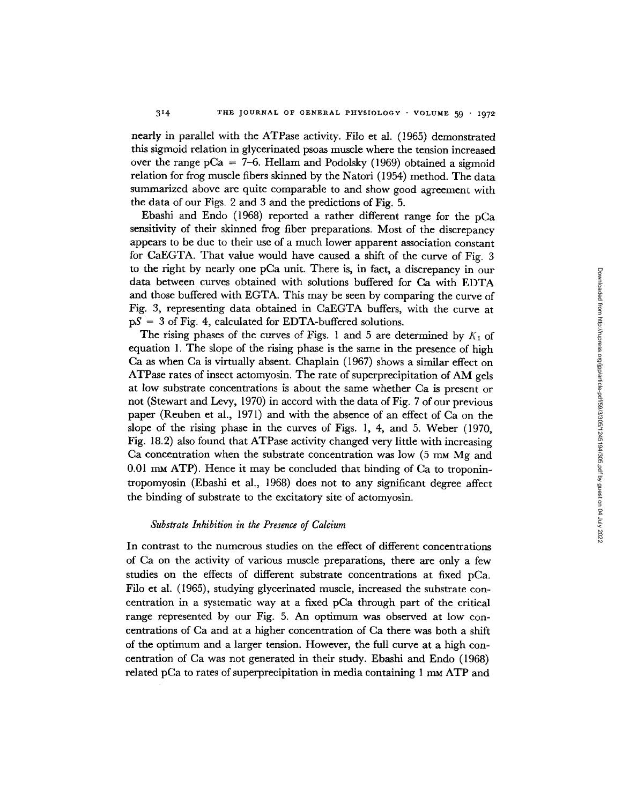nearly in parallel with the ATPase activity. Filo et al. (1965) demonstrated this sigmoid relation in glycerinated psoas muscle where the tension increased over the range pCa =  $7-6$ . Hellam and Podolsky (1969) obtained a sigmoid relation for frog muscle fibers skinned by the Natori (1954) method. The data summarized above are quite comparable to and show good agreement with the data of our Figs. 2 and 3 and the predictions of Fig. 5.

Ebashi and Endo (1968) reported a rather different range for the pCa sensitivity of their skinned frog fiber preparations. Most of the discrepancy appears to be due to their use of a much lower apparent association constant for CaEGTA. That value would have caused a shift of the curve of Fig. 3 to the right by nearly one pCa unit. There is, in fact, a discrepancy in our data between curves obtained with solutions buffered for Ca with EDTA and those buffered with EGTA. This may be seen by comparing the curve of Fig. 3, representing data obtained in CaEGTA buffers, with the curve at  $pS = 3$  of Fig. 4, calculated for EDTA-buffered solutions.

The rising phases of the curves of Figs. 1 and 5 are determined by *K <sup>1</sup>* of equation 1. The slope of the rising phase is the same in the presence of high Ca as when Ca is virtually absent. Chaplain (1967) shows a similar effect on ATPase rates of insect actomyosin. The rate of superprecipitation of AM gels at low substrate concentrations is about the same whether Ca is present or not (Stewart and Levy, 1970) in accord with the data of Fig. 7 of our previous paper (Reuben et al., 1971) and with the absence of an effect of Ca on the slope of the rising phase in the curves of Figs. 1, 4, and 5. Weber (1970, Fig. 18.2) also found that ATPase activity changed very little with increasing Ca concentration when the substrate concentration was low  $(5 \text{ mm Mg})$  and 0.01 mM ATP). Hence it may be concluded that binding of Ca to troponintropomyosin (Ebashi et al., 1968) does not to any significant degree affect the binding of substrate to the excitatory site of actomyosin.

### *Substrate Inhibition in the Presence of Calcium*

In contrast to the numerous studies on the effect of different concentrations of Ca on the activity of various muscle preparations, there are only a few studies on the effects of different substrate concentrations at fixed pCa. Filo et al. (1965), studying glycerinated muscle, increased the substrate concentration in a systematic way at a fixed pCa through part of the critical range represented by our Fig. 5. An optimum was observed at low concentrations of Ca and at a higher concentration of Ca there was both a shift of the optimum and a larger tension. However, the full curve at a high concentration of Ca was not generated in their study. Ebashi and Endo (1968) related pCa to rates of superprecipitation in media containing 1 mm ATP and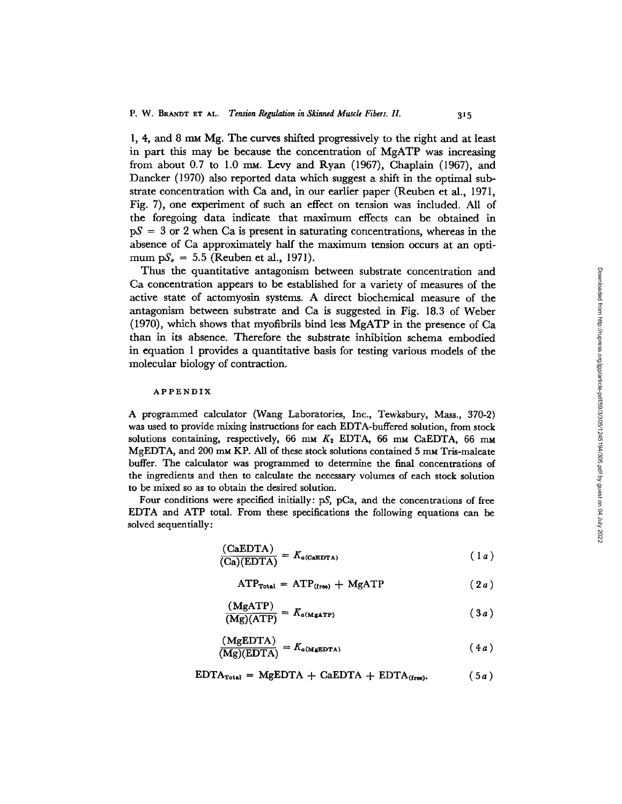1, 4, and 8 mM Mg. The curves shifted progressively to the right and at least in part this may be because the concentration of MgATP was increasing from about 0.7 to 1.0 mm. Levy and Ryan  $(1967)$ , Chaplain  $(1967)$ , and Dancker (1970) also reported data which suggest a shift in the optimal substrate concentration with Ca and, in our earlier paper (Reuben et al., 1971, Fig. 7), one experiment of such an effect on tension was included. All of the foregoing data indicate that maximum effects can be obtained in  $pS = 3$  or 2 when Ca is present in saturating concentrations, whereas in the absence of Ca approximately half the maximum tension occurs at an optimum  $pS_0 = 5.5$  (Reuben et al., 1971).

Thus the quantitative antagonism between substrate concentration and Ca concentration appears to be established for a variety of measures of the active state of actomyosin systems. A direct biochemical measure of the antagonism between substrate and Ca is suggested in Fig. 18.3 of Weber (1970), which shows that myofibrils bind less MgATP in the presence of Ca than in its absence. Therefore the substrate inhibition schema embodied in equation 1 provides a quantitative basis for testing various models of the molecular biology of contraction.

#### APPENDIX

A programmed calculator (Wang Laboratories, Inc., Tewksbury, Mass., 370-2) was used to provide mixing instructions for each EDTA-buffered solution, from stock solutions containing, respectively, 66 mm  $K_2$  EDTA, 66 mm CaEDTA, 66 mm MgEDTA, and 200 mM KP. All of these stock solutions contained 5 mM Tris-maleate buffer. The calculator was programmed to determine the final concentrations of the ingredients and then to calculate the necessary volumes of each stock solution to be mixed so as to obtain the desired solution.

Four conditions were specified initially: pS, pCa, and the concentrations of free EDTA and ATP total. From these specifications the following equations can be solved sequentially:

$$
\frac{(\text{CaEDTA})}{(\text{Ca})(\text{EDTA})} = K_{a(\text{CaEDTA})}
$$
 (1*a*)

$$
ATP_{\text{Total}} = ATP_{\text{(free)}} + MgATP \qquad (2a)
$$

$$
\frac{\text{(MgATP)}}{\text{(Mg)}\text{(ATP)}} = K_{a\text{(MgATP)}}\tag{3a}
$$

$$
\frac{(MgEDTA)}{(Mg)(EDTA)} = K_{a(MgEDTA)}
$$
\n(4*a*)

$$
EDTA_{\text{Total}} = MgEDTA + CaEDTA + EDTA_{(\text{free})}.
$$
 (5*a*)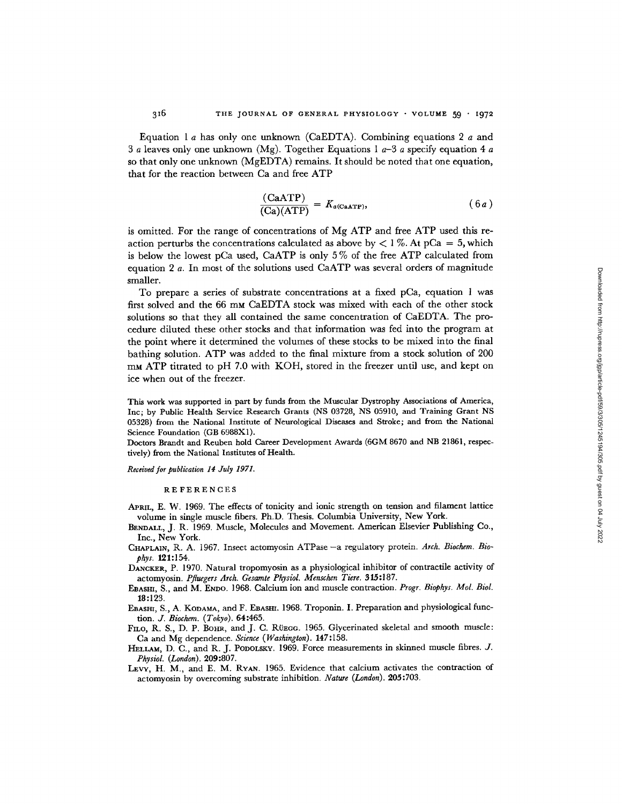Equation 1 *a* has only one unknown (CaEDTA). Combining equations 2 *a* and 3 a leaves only one unknown (Mg). Together Equations I *a-3 a* specify equation 4 a so that only one unknown (MgEDTA) remains. It should be noted that one equation, that for the reaction between Ca and free ATP

$$
\frac{(CaATP)}{(Ca)(ATP)} = K_{a(CaATP)},
$$
\n(6*a*)

is omitted. For the range of concentrations of Mg ATP and free ATP used this reaction perturbs the concentrations calculated as above by  $\lt 1\%$ . At pCa = 5, which is below the lowest pCa used, CaATP is only 5 % of the free ATP calculated from equation 2 *a.* In most of the solutions used CaATP was several orders of magnitude smaller.

To prepare a series of substrate concentrations at a fixed pCa, equation 1 was first solved and the 66 mm CaEDTA stock was mixed with each of the other stock solutions so that they all contained the same concentration of CaEDTA. The procedure diluted these other stocks and that information was fed into the program at the point where it determined the volumes of these stocks to be mixed into the final bathing solution. ATP was added to the final mixture from a stock solution of 200 mM ATP titrated to pH 7.0 with KOH, stored in the freezer until use, and kept on ice when out of the freezer.

This work was supported in part by funds from the Muscular Dystrophy Associations of America, Inc; by Public Health Service Research Grants **(NS** 03728, NS 05910, and Training Grant NS 05328) from the National Institute of Neurological Diseases and Stroke; and from the National Science Foundation (GB 6988X1).

Doctors Brandt and Reuben hold Career Development Awards (6GM 8670 and NB 21861, respectively) from the National Institutes of Health.

*Received for publication 14 July 1971.*

#### REFERENCES

- APRIL, E. W. 1969. The effects of tonicity and ionic strength on tension and filament lattice volume in single muscle fibers. Ph.D. Thesis. Columbia University, New York.
- **BENDALL,** J. R. 1969. Muscle, Molecules and Movement. American Elsevier Publishing Co., Inc., New York.
- CHAPLAIN, R. A. 1967. Insect actomyosin ATPase -a regulatory protein. *Arch. Biochem. Biophys.* 121:154.
- DANCKER, P. 1970. Natural tropomyosin as a physiological inhibitor of contractile activity of actomyosin. *Pfluegers Arch. Gesamte Physiol. Menschen Tiere.* 315:187.
- EBASHI, S., and M. ENDO. 1968. Calcium ion and muscle contraction. *Progr. Biophys. Mol. Biol.* 18:123.
- **EBASHI,** S., A. KODAMA, and F. EBASHI. 1968. Troponin. I. Preparation and physiological function. *J. Biochem. (Tokyo).* 64:465.
- FILO, R. S., D. P. BOHR, and J. C. RÜEGG. 1965. Glycerinated skeletal and smooth muscle: Ca and Mg dependence. *Science (Washington).* 147:158.
- HELLAM, D. C., and R. J. PODOLSKY. 1969. Force measurements in skinned muscle fibres. *J. Physiol. (London).* 209:807.
- LEVY, H. M., and E. M. RYAN. 1965. Evidence that calcium activates the contraction of actomyosin by overcoming substrate inhibition. *Nature (London).* 205:703.